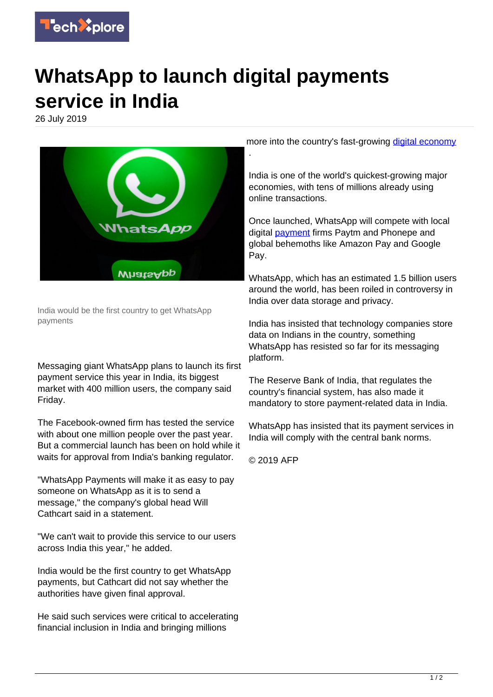

## **WhatsApp to launch digital payments service in India**

.

26 July 2019



India would be the first country to get WhatsApp payments

Messaging giant WhatsApp plans to launch its first payment service this year in India, its biggest market with 400 million users, the company said Friday.

The Facebook-owned firm has tested the service with about one million people over the past year. But a commercial launch has been on hold while it waits for approval from India's banking regulator.

"WhatsApp Payments will make it as easy to pay someone on WhatsApp as it is to send a message," the company's global head Will Cathcart said in a statement.

"We can't wait to provide this service to our users across India this year," he added.

India would be the first country to get WhatsApp payments, but Cathcart did not say whether the authorities have given final approval.

He said such services were critical to accelerating financial inclusion in India and bringing millions

more into the country's fast-growing [digital economy](https://techxplore.com/tags/digital+economy/)

India is one of the world's quickest-growing major economies, with tens of millions already using online transactions.

Once launched, WhatsApp will compete with local digital [payment](https://techxplore.com/tags/payment/) firms Paytm and Phonepe and global behemoths like Amazon Pay and Google Pay.

WhatsApp, which has an estimated 1.5 billion users around the world, has been roiled in controversy in India over data storage and privacy.

India has insisted that technology companies store data on Indians in the country, something WhatsApp has resisted so far for its messaging platform.

The Reserve Bank of India, that regulates the country's financial system, has also made it mandatory to store payment-related data in India.

WhatsApp has insisted that its payment services in India will comply with the central bank norms.

© 2019 AFP